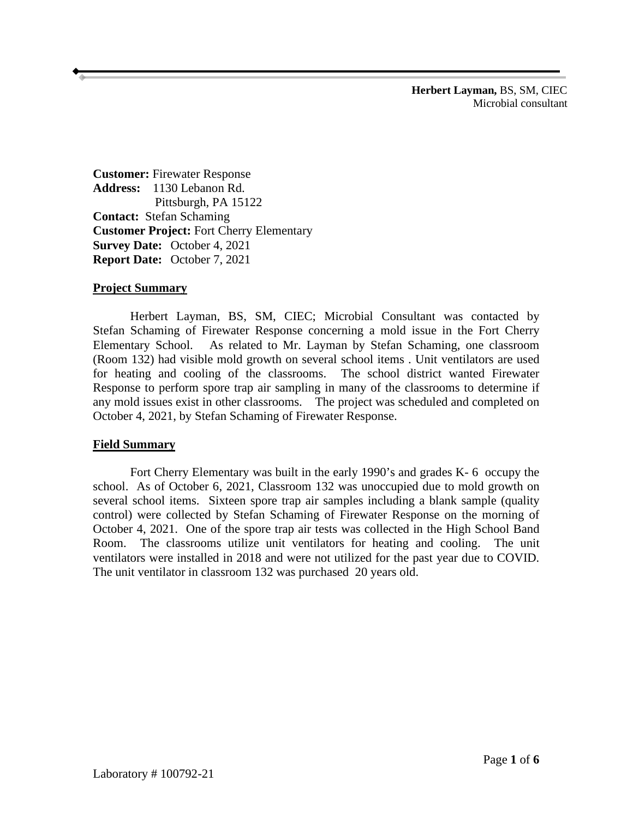**Herbert Layman,** BS, SM, CIEC Microbial consultant

**Customer:** Firewater Response **Address:** 1130 Lebanon Rd. Pittsburgh, PA 15122 **Contact:** Stefan Schaming **Customer Project:** Fort Cherry Elementary **Survey Date:** October 4, 2021 **Report Date:** October 7, 2021

### **Project Summary**

Herbert Layman, BS, SM, CIEC; Microbial Consultant was contacted by Stefan Schaming of Firewater Response concerning a mold issue in the Fort Cherry Elementary School. As related to Mr. Layman by Stefan Schaming, one classroom (Room 132) had visible mold growth on several school items . Unit ventilators are used for heating and cooling of the classrooms. The school district wanted Firewater Response to perform spore trap air sampling in many of the classrooms to determine if any mold issues exist in other classrooms. The project was scheduled and completed on October 4, 2021, by Stefan Schaming of Firewater Response.

### **Field Summary**

Fort Cherry Elementary was built in the early 1990's and grades K- 6 occupy the school. As of October 6, 2021, Classroom 132 was unoccupied due to mold growth on several school items. Sixteen spore trap air samples including a blank sample (quality control) were collected by Stefan Schaming of Firewater Response on the morning of October 4, 2021. One of the spore trap air tests was collected in the High School Band Room. The classrooms utilize unit ventilators for heating and cooling. The unit ventilators were installed in 2018 and were not utilized for the past year due to COVID. The unit ventilator in classroom 132 was purchased 20 years old.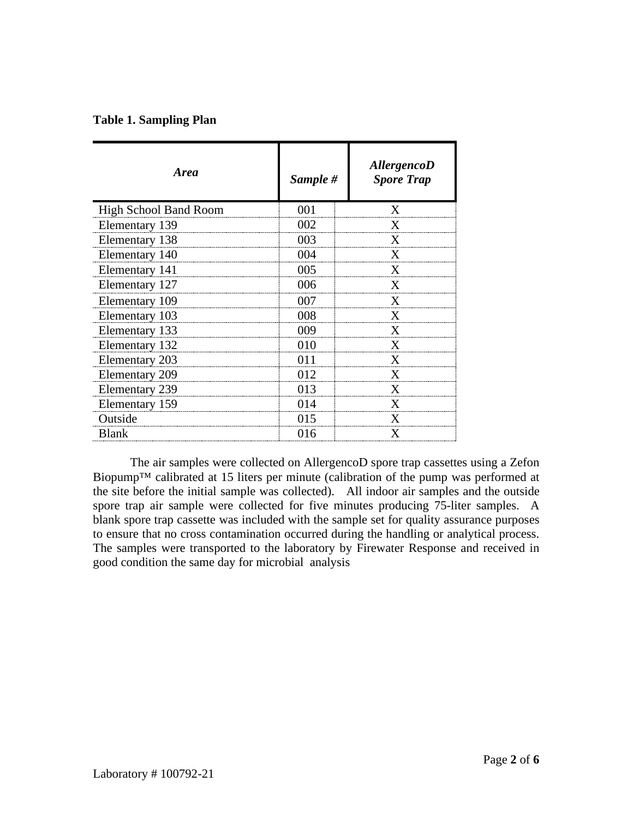| <b>Area</b>                  | Sample # | <b>AllergencoD</b><br><b>Spore Trap</b> |
|------------------------------|----------|-----------------------------------------|
| <b>High School Band Room</b> | 001      | X                                       |
| Elementary 139               | 002      | X                                       |
| Elementary 138               | 003      | X                                       |
| Elementary 140               | 004      | X                                       |
| Elementary 141               | 005      | X                                       |
| Elementary 127               | 006      | X                                       |
| Elementary 109               | 007      | X                                       |
| Elementary 103               | 008      | X                                       |
| Elementary 133               | 009      | X                                       |
| Elementary 132               | 010      | X                                       |
| Elementary 203               | 011      | X                                       |
| <b>Elementary 209</b>        | 012      | X                                       |
| <b>Elementary 239</b>        | 013      | X                                       |
| Elementary 159               | 014      | X                                       |
| Outside                      | 015      | X                                       |
| <b>Blank</b>                 | 016      | X                                       |

The air samples were collected on AllergencoD spore trap cassettes using a Zefon Biopump™ calibrated at 15 liters per minute (calibration of the pump was performed at the site before the initial sample was collected). All indoor air samples and the outside spore trap air sample were collected for five minutes producing 75-liter samples. A blank spore trap cassette was included with the sample set for quality assurance purposes to ensure that no cross contamination occurred during the handling or analytical process. The samples were transported to the laboratory by Firewater Response and received in good condition the same day for microbial analysis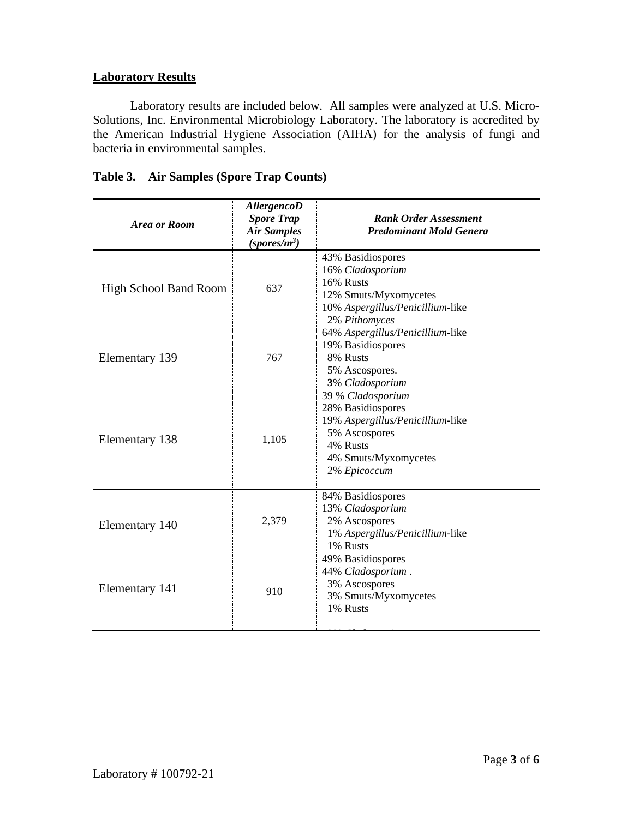## **Laboratory Results**

Laboratory results are included below. All samples were analyzed at U.S. Micro-Solutions, Inc. Environmental Microbiology Laboratory. The laboratory is accredited by the American Industrial Hygiene Association (AIHA) for the analysis of fungi and bacteria in environmental samples.

| Area or Room                 | <b>AllergencoD</b><br><b>Spore Trap</b><br><b>Air Samples</b><br>$(sports/m^3)$ | <b>Rank Order Assessment</b><br><b>Predominant Mold Genera</b>                                                                                  |  |
|------------------------------|---------------------------------------------------------------------------------|-------------------------------------------------------------------------------------------------------------------------------------------------|--|
| <b>High School Band Room</b> | 637                                                                             | 43% Basidiospores<br>16% Cladosporium<br>16% Rusts<br>12% Smuts/Myxomycetes<br>10% Aspergillus/Penicillium-like<br>2% Pithomyces                |  |
| Elementary 139               | 767                                                                             | 64% Aspergillus/Penicillium-like<br>19% Basidiospores<br>8% Rusts<br>5% Ascospores.<br>3% Cladosporium                                          |  |
| Elementary 138               | 1,105                                                                           | 39 % Cladosporium<br>28% Basidiospores<br>19% Aspergillus/Penicillium-like<br>5% Ascospores<br>4% Rusts<br>4% Smuts/Myxomycetes<br>2% Epicoccum |  |
| Elementary 140               | 2,379                                                                           | 84% Basidiospores<br>13% Cladosporium<br>2% Ascospores<br>1% Aspergillus/Penicillium-like<br>1% Rusts                                           |  |
| Elementary 141               | 910                                                                             | 49% Basidiospores<br>44% Cladosporium.<br>3% Ascospores<br>3% Smuts/Myxomycetes<br>1% Rusts                                                     |  |

13% *Cl d i*

# **Table 3. Air Samples (Spore Trap Counts)**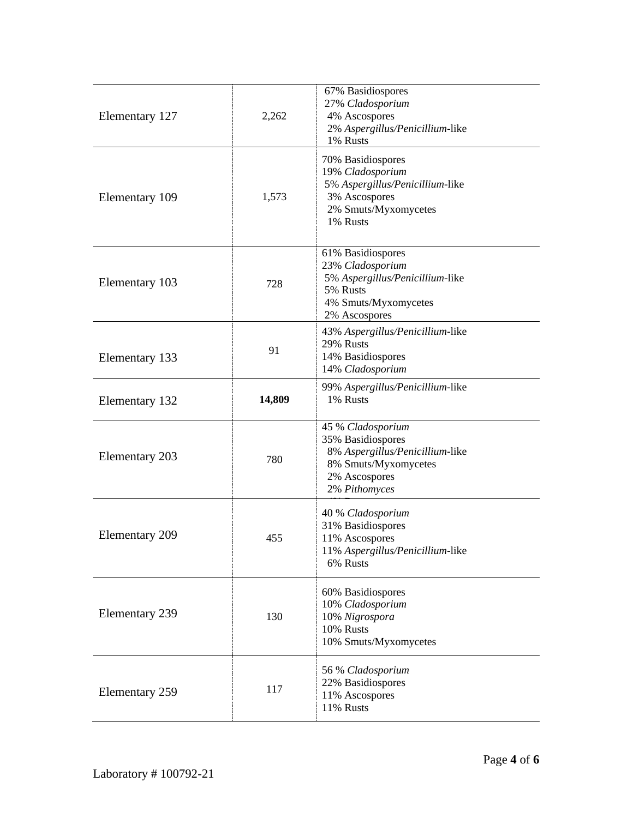| Elementary 127        | 2,262  | 67% Basidiospores<br>27% Cladosporium<br>4% Ascospores<br>2% Aspergillus/Penicillium-like<br>1% Rusts                               |  |
|-----------------------|--------|-------------------------------------------------------------------------------------------------------------------------------------|--|
| Elementary 109        | 1,573  | 70% Basidiospores<br>19% Cladosporium<br>5% Aspergillus/Penicillium-like<br>3% Ascospores<br>2% Smuts/Myxomycetes<br>1% Rusts       |  |
| Elementary 103        | 728    | 61% Basidiospores<br>23% Cladosporium<br>5% Aspergillus/Penicillium-like<br>5% Rusts<br>4% Smuts/Myxomycetes<br>2% Ascospores       |  |
| Elementary 133        | 91     | 43% Aspergillus/Penicillium-like<br>29% Rusts<br>14% Basidiospores<br>14% Cladosporium                                              |  |
| Elementary 132        | 14,809 | 99% Aspergillus/Penicillium-like<br>1% Rusts                                                                                        |  |
| Elementary 203        | 780    | 45 % Cladosporium<br>35% Basidiospores<br>8% Aspergillus/Penicillium-like<br>8% Smuts/Myxomycetes<br>2% Ascospores<br>2% Pithomyces |  |
| <b>Elementary 209</b> | 455    | 40 % Cladosporium<br>31% Basidiospores<br>11% Ascospores<br>11% Aspergillus/Penicillium-like<br>6% Rusts                            |  |
| <b>Elementary 239</b> | 130    | 60% Basidiospores<br>10% Cladosporium<br>10% Nigrospora<br>10% Rusts<br>10% Smuts/Myxomycetes                                       |  |
| Elementary 259        | 117    | 56 % Cladosporium<br>22% Basidiospores<br>11% Ascospores<br>11% Rusts                                                               |  |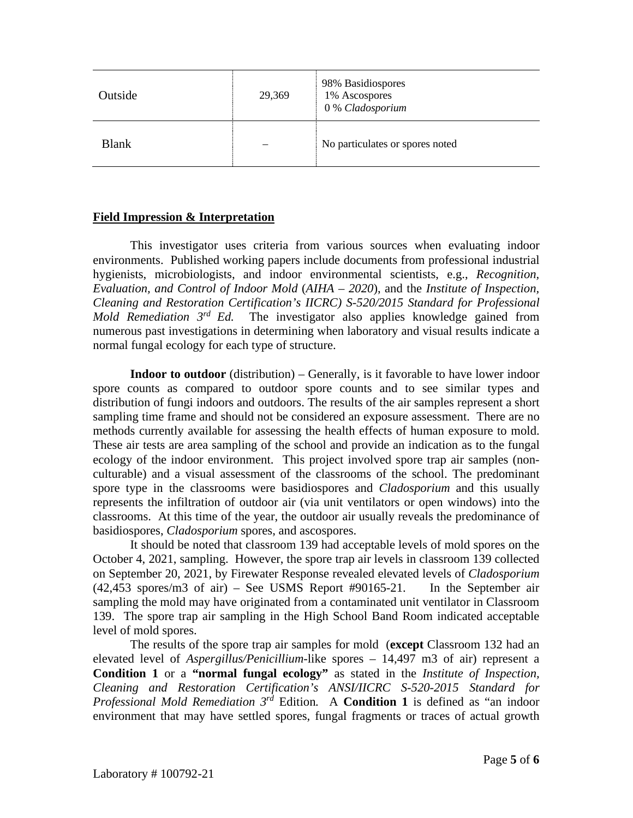| Outside      | 29,369 | 98% Basidiospores<br>1% Ascospores<br>0 % Cladosporium |
|--------------|--------|--------------------------------------------------------|
| <b>Blank</b> |        | No particulates or spores noted                        |

## **Field Impression & Interpretation**

This investigator uses criteria from various sources when evaluating indoor environments. Published working papers include documents from professional industrial hygienists, microbiologists, and indoor environmental scientists, e.g., *Recognition, Evaluation, and Control of Indoor Mold* (*AIHA* – *2020*), and the *Institute of Inspection, Cleaning and Restoration Certification's IICRC) S-520/2015 Standard for Professional Mold Remediation 3rd Ed.* The investigator also applies knowledge gained from numerous past investigations in determining when laboratory and visual results indicate a normal fungal ecology for each type of structure.

**Indoor to outdoor** (distribution) – Generally, is it favorable to have lower indoor spore counts as compared to outdoor spore counts and to see similar types and distribution of fungi indoors and outdoors. The results of the air samples represent a short sampling time frame and should not be considered an exposure assessment. There are no methods currently available for assessing the health effects of human exposure to mold. These air tests are area sampling of the school and provide an indication as to the fungal ecology of the indoor environment. This project involved spore trap air samples (nonculturable) and a visual assessment of the classrooms of the school. The predominant spore type in the classrooms were basidiospores and *Cladosporium* and this usually represents the infiltration of outdoor air (via unit ventilators or open windows) into the classrooms. At this time of the year, the outdoor air usually reveals the predominance of basidiospores, *Cladosporium* spores, and ascospores.

It should be noted that classroom 139 had acceptable levels of mold spores on the October 4, 2021, sampling. However, the spore trap air levels in classroom 139 collected on September 20, 2021, by Firewater Response revealed elevated levels of *Cladosporium*  (42,453 spores/m3 of air) – See USMS Report #90165-21. In the September air sampling the mold may have originated from a contaminated unit ventilator in Classroom 139. The spore trap air sampling in the High School Band Room indicated acceptable level of mold spores.

The results of the spore trap air samples for mold (**except** Classroom 132 had an elevated level of *Aspergillus/Penicillium-*like spores – 14,497 m3 of air) represent a **Condition 1** or a **"normal fungal ecology"** as stated in the *Institute of Inspection, Cleaning and Restoration Certification's ANSI/IICRC S-520-2015 Standard for Professional Mold Remediation 3rd* Edition*.* A **Condition 1** is defined as "an indoor environment that may have settled spores, fungal fragments or traces of actual growth